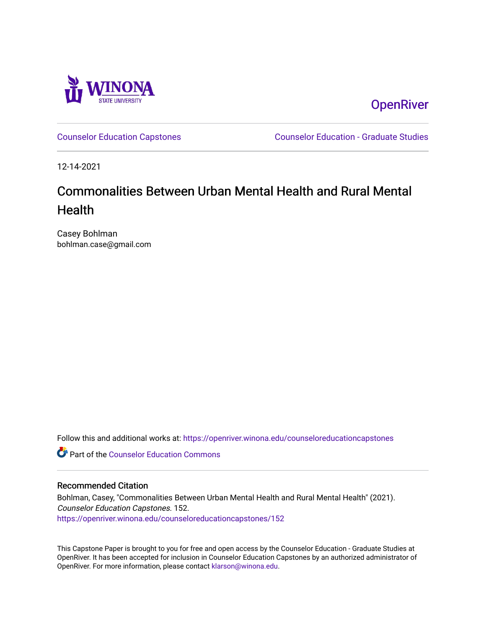

**OpenRiver** 

[Counselor Education Capstones](https://openriver.winona.edu/counseloreducationcapstones) [Counselor Education - Graduate Studies](https://openriver.winona.edu/counseloreducation) 

12-14-2021

# Commonalities Between Urban Mental Health and Rural Mental **Health**

Casey Bohlman bohlman.case@gmail.com

Follow this and additional works at: [https://openriver.winona.edu/counseloreducationcapstones](https://openriver.winona.edu/counseloreducationcapstones?utm_source=openriver.winona.edu%2Fcounseloreducationcapstones%2F152&utm_medium=PDF&utm_campaign=PDFCoverPages)

**C** Part of the Counselor Education Commons

#### Recommended Citation

Bohlman, Casey, "Commonalities Between Urban Mental Health and Rural Mental Health" (2021). Counselor Education Capstones. 152. [https://openriver.winona.edu/counseloreducationcapstones/152](https://openriver.winona.edu/counseloreducationcapstones/152?utm_source=openriver.winona.edu%2Fcounseloreducationcapstones%2F152&utm_medium=PDF&utm_campaign=PDFCoverPages)

This Capstone Paper is brought to you for free and open access by the Counselor Education - Graduate Studies at OpenRiver. It has been accepted for inclusion in Counselor Education Capstones by an authorized administrator of OpenRiver. For more information, please contact [klarson@winona.edu](mailto:klarson@winona.edu).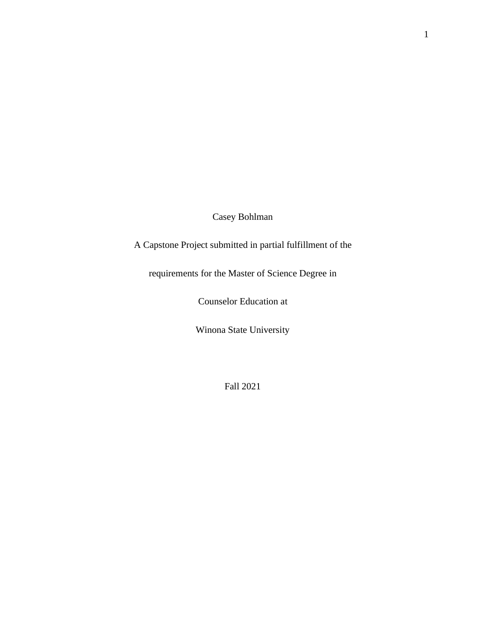Casey Bohlman

A Capstone Project submitted in partial fulfillment of the

requirements for the Master of Science Degree in

Counselor Education at

Winona State University

Fall 2021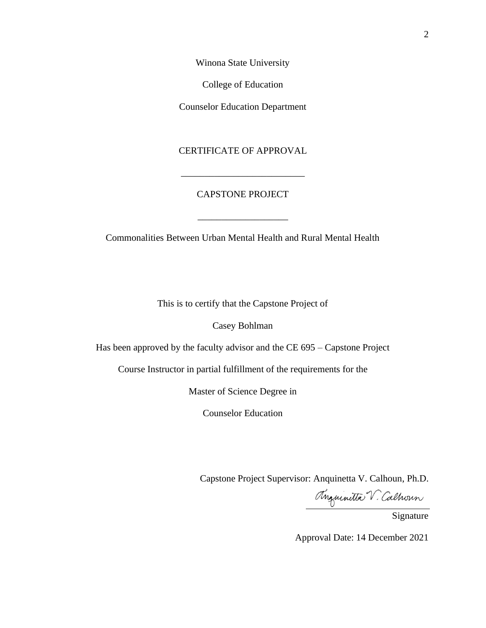Winona State University

College of Education

Counselor Education Department

### CERTIFICATE OF APPROVAL

\_\_\_\_\_\_\_\_\_\_\_\_\_\_\_\_\_\_\_\_\_\_\_\_\_\_

## CAPSTONE PROJECT

\_\_\_\_\_\_\_\_\_\_\_\_\_\_\_\_\_\_\_

Commonalities Between Urban Mental Health and Rural Mental Health

This is to certify that the Capstone Project of

Casey Bohlman

Has been approved by the faculty advisor and the CE 695 – Capstone Project

Course Instructor in partial fulfillment of the requirements for the

Master of Science Degree in

Counselor Education

Capstone Project Supervisor: Anquinetta V. Calhoun, Ph.D.

Anguinetta V. Calhoun

Approval Date: 14 December 2021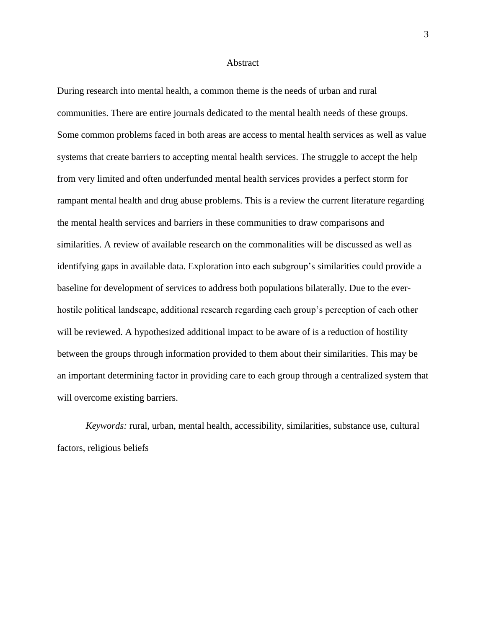#### **Abstract**

During research into mental health, a common theme is the needs of urban and rural communities. There are entire journals dedicated to the mental health needs of these groups. Some common problems faced in both areas are access to mental health services as well as value systems that create barriers to accepting mental health services. The struggle to accept the help from very limited and often underfunded mental health services provides a perfect storm for rampant mental health and drug abuse problems. This is a review the current literature regarding the mental health services and barriers in these communities to draw comparisons and similarities. A review of available research on the commonalities will be discussed as well as identifying gaps in available data. Exploration into each subgroup's similarities could provide a baseline for development of services to address both populations bilaterally. Due to the everhostile political landscape, additional research regarding each group's perception of each other will be reviewed. A hypothesized additional impact to be aware of is a reduction of hostility between the groups through information provided to them about their similarities. This may be an important determining factor in providing care to each group through a centralized system that will overcome existing barriers.

*Keywords:* rural, urban, mental health, accessibility, similarities, substance use, cultural factors, religious beliefs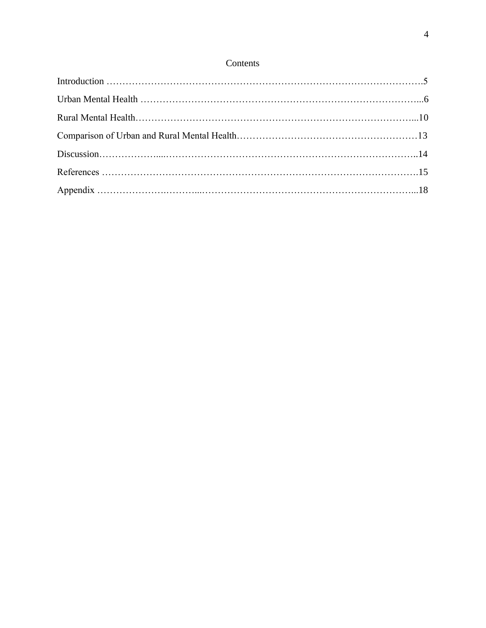## Contents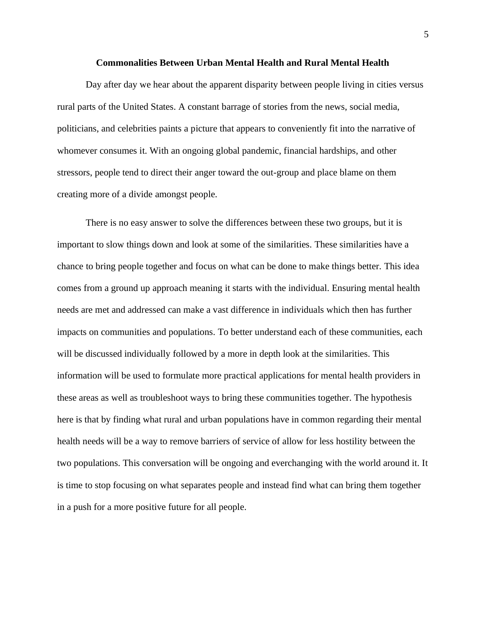#### **Commonalities Between Urban Mental Health and Rural Mental Health**

Day after day we hear about the apparent disparity between people living in cities versus rural parts of the United States. A constant barrage of stories from the news, social media, politicians, and celebrities paints a picture that appears to conveniently fit into the narrative of whomever consumes it. With an ongoing global pandemic, financial hardships, and other stressors, people tend to direct their anger toward the out-group and place blame on them creating more of a divide amongst people.

There is no easy answer to solve the differences between these two groups, but it is important to slow things down and look at some of the similarities. These similarities have a chance to bring people together and focus on what can be done to make things better. This idea comes from a ground up approach meaning it starts with the individual. Ensuring mental health needs are met and addressed can make a vast difference in individuals which then has further impacts on communities and populations. To better understand each of these communities, each will be discussed individually followed by a more in depth look at the similarities. This information will be used to formulate more practical applications for mental health providers in these areas as well as troubleshoot ways to bring these communities together. The hypothesis here is that by finding what rural and urban populations have in common regarding their mental health needs will be a way to remove barriers of service of allow for less hostility between the two populations. This conversation will be ongoing and everchanging with the world around it. It is time to stop focusing on what separates people and instead find what can bring them together in a push for a more positive future for all people.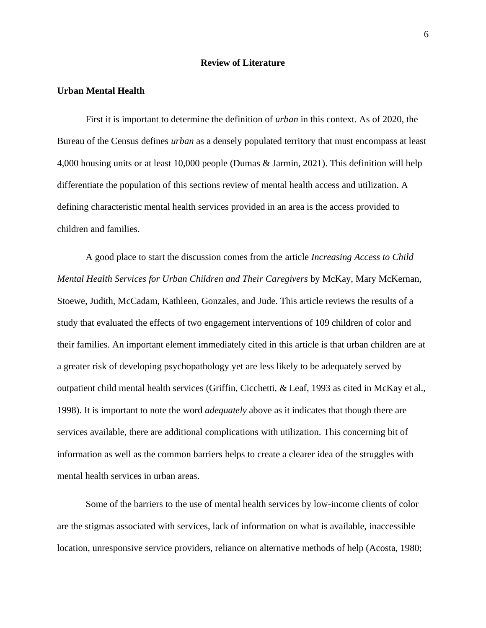#### **Review of Literature**

#### **Urban Mental Health**

First it is important to determine the definition of *urban* in this context. As of 2020, the Bureau of the Census defines *urban* as a densely populated territory that must encompass at least 4,000 housing units or at least 10,000 people (Dumas & Jarmin, 2021). This definition will help differentiate the population of this sections review of mental health access and utilization. A defining characteristic mental health services provided in an area is the access provided to children and families.

A good place to start the discussion comes from the article *Increasing Access to Child Mental Health Services for Urban Children and Their Caregivers* by McKay, Mary McKernan, Stoewe, Judith, McCadam, Kathleen, Gonzales, and Jude. This article reviews the results of a study that evaluated the effects of two engagement interventions of 109 children of color and their families. An important element immediately cited in this article is that urban children are at a greater risk of developing psychopathology yet are less likely to be adequately served by outpatient child mental health services (Griffin, Cicchetti, & Leaf, 1993 as cited in McKay et al., 1998). It is important to note the word *adequately* above as it indicates that though there are services available, there are additional complications with utilization. This concerning bit of information as well as the common barriers helps to create a clearer idea of the struggles with mental health services in urban areas.

Some of the barriers to the use of mental health services by low-income clients of color are the stigmas associated with services, lack of information on what is available, inaccessible location, unresponsive service providers, reliance on alternative methods of help (Acosta, 1980;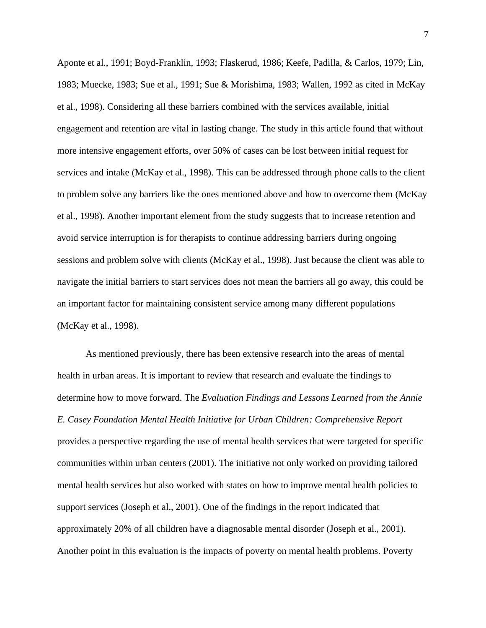Aponte et al., 1991; Boyd-Franklin, 1993; Flaskerud, 1986; Keefe, Padilla, & Carlos, 1979; Lin, 1983; Muecke, 1983; Sue et al., 1991; Sue & Morishima, 1983; Wallen, 1992 as cited in McKay et al., 1998). Considering all these barriers combined with the services available, initial engagement and retention are vital in lasting change. The study in this article found that without more intensive engagement efforts, over 50% of cases can be lost between initial request for services and intake (McKay et al., 1998). This can be addressed through phone calls to the client to problem solve any barriers like the ones mentioned above and how to overcome them (McKay et al., 1998). Another important element from the study suggests that to increase retention and avoid service interruption is for therapists to continue addressing barriers during ongoing sessions and problem solve with clients (McKay et al., 1998). Just because the client was able to navigate the initial barriers to start services does not mean the barriers all go away, this could be an important factor for maintaining consistent service among many different populations (McKay et al., 1998).

As mentioned previously, there has been extensive research into the areas of mental health in urban areas. It is important to review that research and evaluate the findings to determine how to move forward. The *Evaluation Findings and Lessons Learned from the Annie E. Casey Foundation Mental Health Initiative for Urban Children: Comprehensive Report* provides a perspective regarding the use of mental health services that were targeted for specific communities within urban centers (2001). The initiative not only worked on providing tailored mental health services but also worked with states on how to improve mental health policies to support services (Joseph et al., 2001). One of the findings in the report indicated that approximately 20% of all children have a diagnosable mental disorder (Joseph et al., 2001). Another point in this evaluation is the impacts of poverty on mental health problems. Poverty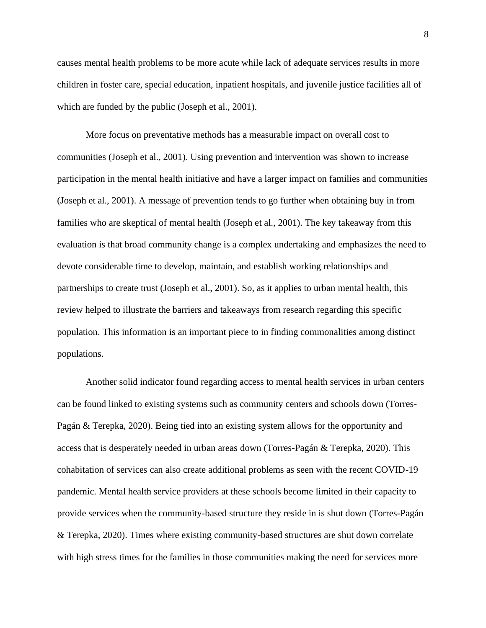causes mental health problems to be more acute while lack of adequate services results in more children in foster care, special education, inpatient hospitals, and juvenile justice facilities all of which are funded by the public (Joseph et al., 2001).

More focus on preventative methods has a measurable impact on overall cost to communities (Joseph et al., 2001). Using prevention and intervention was shown to increase participation in the mental health initiative and have a larger impact on families and communities (Joseph et al., 2001). A message of prevention tends to go further when obtaining buy in from families who are skeptical of mental health (Joseph et al., 2001). The key takeaway from this evaluation is that broad community change is a complex undertaking and emphasizes the need to devote considerable time to develop, maintain, and establish working relationships and partnerships to create trust (Joseph et al., 2001). So, as it applies to urban mental health, this review helped to illustrate the barriers and takeaways from research regarding this specific population. This information is an important piece to in finding commonalities among distinct populations.

Another solid indicator found regarding access to mental health services in urban centers can be found linked to existing systems such as community centers and schools down (Torres-Pagán & Terepka, 2020). Being tied into an existing system allows for the opportunity and access that is desperately needed in urban areas down (Torres-Pagán & Terepka, 2020). This cohabitation of services can also create additional problems as seen with the recent COVID-19 pandemic. Mental health service providers at these schools become limited in their capacity to provide services when the community-based structure they reside in is shut down (Torres-Pagán & Terepka, 2020). Times where existing community-based structures are shut down correlate with high stress times for the families in those communities making the need for services more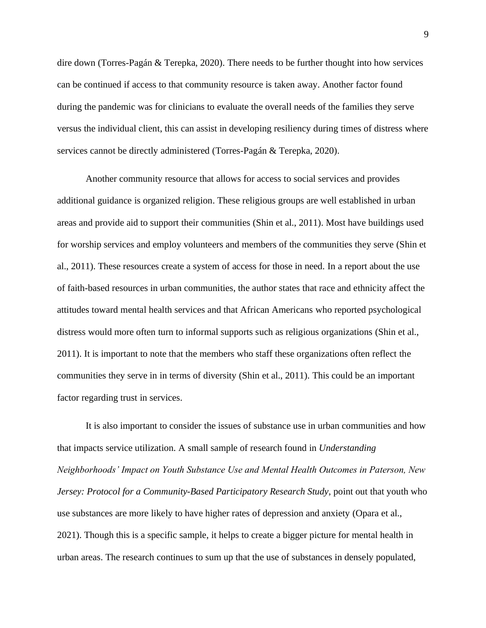dire down (Torres-Pagán & Terepka, 2020). There needs to be further thought into how services can be continued if access to that community resource is taken away. Another factor found during the pandemic was for clinicians to evaluate the overall needs of the families they serve versus the individual client, this can assist in developing resiliency during times of distress where services cannot be directly administered (Torres-Pagán & Terepka, 2020).

Another community resource that allows for access to social services and provides additional guidance is organized religion. These religious groups are well established in urban areas and provide aid to support their communities (Shin et al., 2011). Most have buildings used for worship services and employ volunteers and members of the communities they serve (Shin et al., 2011). These resources create a system of access for those in need. In a report about the use of faith-based resources in urban communities, the author states that race and ethnicity affect the attitudes toward mental health services and that African Americans who reported psychological distress would more often turn to informal supports such as religious organizations (Shin et al., 2011). It is important to note that the members who staff these organizations often reflect the communities they serve in in terms of diversity (Shin et al., 2011). This could be an important factor regarding trust in services.

It is also important to consider the issues of substance use in urban communities and how that impacts service utilization. A small sample of research found in *Understanding Neighborhoods' Impact on Youth Substance Use and Mental Health Outcomes in Paterson, New Jersey: Protocol for a Community-Based Participatory Research Study*, point out that youth who use substances are more likely to have higher rates of depression and anxiety (Opara et al., 2021). Though this is a specific sample, it helps to create a bigger picture for mental health in urban areas. The research continues to sum up that the use of substances in densely populated,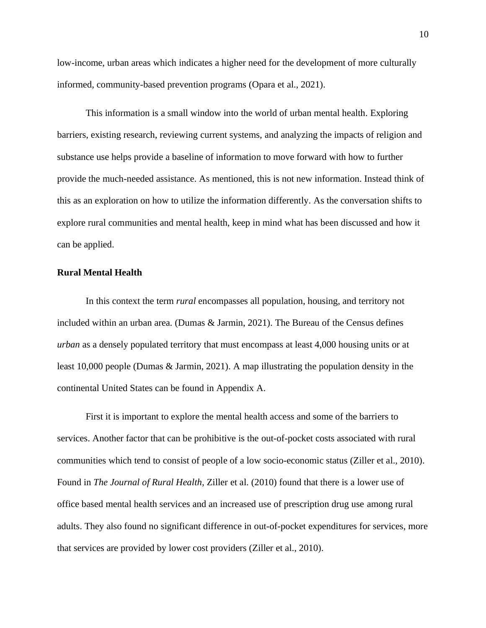low-income, urban areas which indicates a higher need for the development of more culturally informed, community-based prevention programs (Opara et al., 2021).

This information is a small window into the world of urban mental health. Exploring barriers, existing research, reviewing current systems, and analyzing the impacts of religion and substance use helps provide a baseline of information to move forward with how to further provide the much-needed assistance. As mentioned, this is not new information. Instead think of this as an exploration on how to utilize the information differently. As the conversation shifts to explore rural communities and mental health, keep in mind what has been discussed and how it can be applied.

#### **Rural Mental Health**

In this context the term *rural* encompasses all population, housing, and territory not included within an urban area. (Dumas & Jarmin, 2021). The Bureau of the Census defines *urban* as a densely populated territory that must encompass at least 4,000 housing units or at least 10,000 people (Dumas & Jarmin, 2021). A map illustrating the population density in the continental United States can be found in Appendix A.

First it is important to explore the mental health access and some of the barriers to services. Another factor that can be prohibitive is the out-of-pocket costs associated with rural communities which tend to consist of people of a low socio-economic status (Ziller et al., 2010). Found in *The Journal of Rural Health,* Ziller et al. (2010) found that there is a lower use of office based mental health services and an increased use of prescription drug use among rural adults. They also found no significant difference in out-of-pocket expenditures for services, more that services are provided by lower cost providers (Ziller et al., 2010).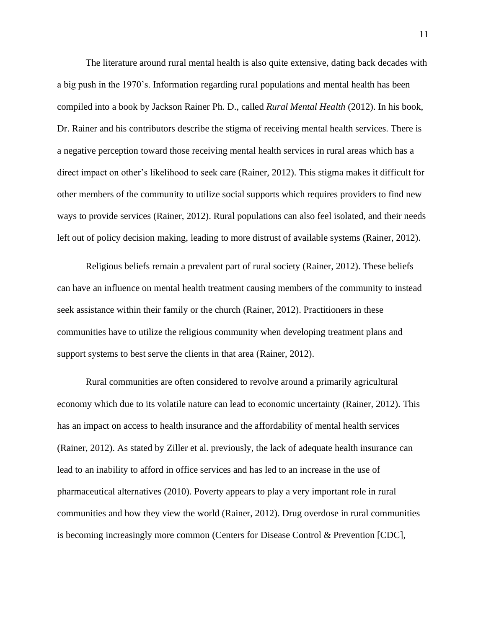The literature around rural mental health is also quite extensive, dating back decades with a big push in the 1970's. Information regarding rural populations and mental health has been compiled into a book by Jackson Rainer Ph. D., called *Rural Mental Health* (2012). In his book, Dr. Rainer and his contributors describe the stigma of receiving mental health services. There is a negative perception toward those receiving mental health services in rural areas which has a direct impact on other's likelihood to seek care (Rainer, 2012). This stigma makes it difficult for other members of the community to utilize social supports which requires providers to find new ways to provide services (Rainer, 2012). Rural populations can also feel isolated, and their needs left out of policy decision making, leading to more distrust of available systems (Rainer, 2012).

Religious beliefs remain a prevalent part of rural society (Rainer, 2012). These beliefs can have an influence on mental health treatment causing members of the community to instead seek assistance within their family or the church (Rainer, 2012). Practitioners in these communities have to utilize the religious community when developing treatment plans and support systems to best serve the clients in that area (Rainer, 2012).

Rural communities are often considered to revolve around a primarily agricultural economy which due to its volatile nature can lead to economic uncertainty (Rainer, 2012). This has an impact on access to health insurance and the affordability of mental health services (Rainer, 2012). As stated by Ziller et al. previously, the lack of adequate health insurance can lead to an inability to afford in office services and has led to an increase in the use of pharmaceutical alternatives (2010). Poverty appears to play a very important role in rural communities and how they view the world (Rainer, 2012). Drug overdose in rural communities is becoming increasingly more common (Centers for Disease Control & Prevention [CDC],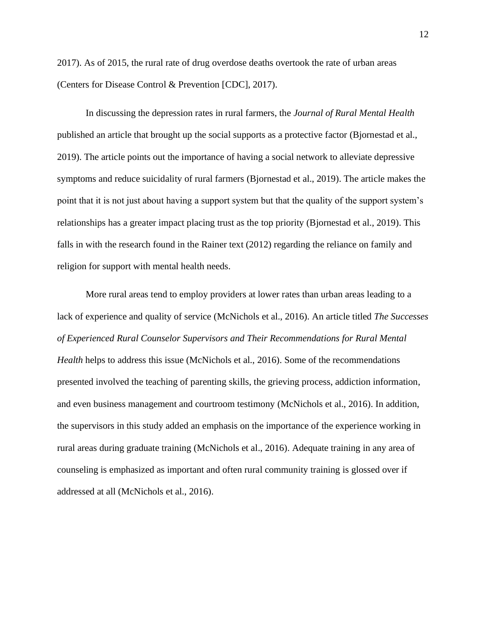2017). As of 2015, the rural rate of drug overdose deaths overtook the rate of urban areas (Centers for Disease Control & Prevention [CDC], 2017).

In discussing the depression rates in rural farmers, the *Journal of Rural Mental Health* published an article that brought up the social supports as a protective factor (Bjornestad et al., 2019). The article points out the importance of having a social network to alleviate depressive symptoms and reduce suicidality of rural farmers (Bjornestad et al., 2019). The article makes the point that it is not just about having a support system but that the quality of the support system's relationships has a greater impact placing trust as the top priority (Bjornestad et al., 2019). This falls in with the research found in the Rainer text (2012) regarding the reliance on family and religion for support with mental health needs.

More rural areas tend to employ providers at lower rates than urban areas leading to a lack of experience and quality of service (McNichols et al., 2016). An article titled *The Successes of Experienced Rural Counselor Supervisors and Their Recommendations for Rural Mental Health* helps to address this issue (McNichols et al., 2016). Some of the recommendations presented involved the teaching of parenting skills, the grieving process, addiction information, and even business management and courtroom testimony (McNichols et al., 2016). In addition, the supervisors in this study added an emphasis on the importance of the experience working in rural areas during graduate training (McNichols et al., 2016). Adequate training in any area of counseling is emphasized as important and often rural community training is glossed over if addressed at all (McNichols et al., 2016).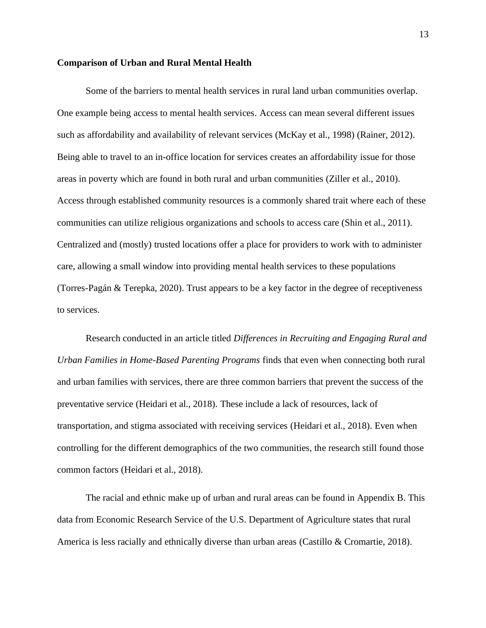#### **Comparison of Urban and Rural Mental Health**

Some of the barriers to mental health services in rural land urban communities overlap. One example being access to mental health services. Access can mean several different issues such as affordability and availability of relevant services (McKay et al., 1998) (Rainer, 2012). Being able to travel to an in-office location for services creates an affordability issue for those areas in poverty which are found in both rural and urban communities (Ziller et al., 2010). Access through established community resources is a commonly shared trait where each of these communities can utilize religious organizations and schools to access care (Shin et al., 2011). Centralized and (mostly) trusted locations offer a place for providers to work with to administer care, allowing a small window into providing mental health services to these populations (Torres-Pagán & Terepka, 2020). Trust appears to be a key factor in the degree of receptiveness to services.

Research conducted in an article titled *Differences in Recruiting and Engaging Rural and Urban Families in Home-Based Parenting Programs* finds that even when connecting both rural and urban families with services, there are three common barriers that prevent the success of the preventative service (Heidari et al., 2018). These include a lack of resources, lack of transportation, and stigma associated with receiving services (Heidari et al., 2018). Even when controlling for the different demographics of the two communities, the research still found those common factors (Heidari et al., 2018).

The racial and ethnic make up of urban and rural areas can be found in Appendix B. This data from Economic Research Service of the U.S. Department of Agriculture states that rural America is less racially and ethnically diverse than urban areas (Castillo & Cromartie, 2018).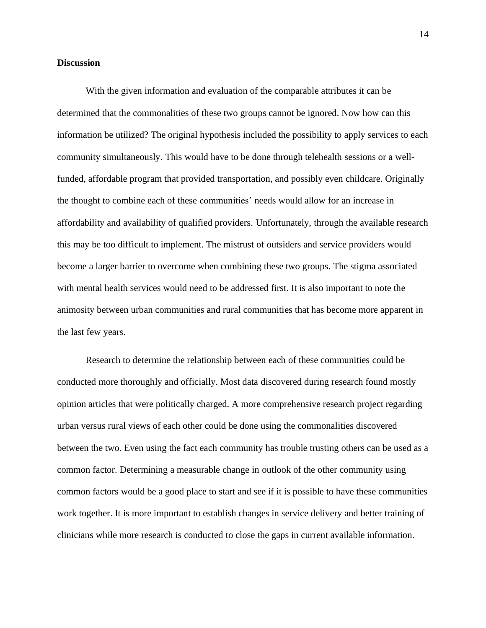#### **Discussion**

With the given information and evaluation of the comparable attributes it can be determined that the commonalities of these two groups cannot be ignored. Now how can this information be utilized? The original hypothesis included the possibility to apply services to each community simultaneously. This would have to be done through telehealth sessions or a wellfunded, affordable program that provided transportation, and possibly even childcare. Originally the thought to combine each of these communities' needs would allow for an increase in affordability and availability of qualified providers. Unfortunately, through the available research this may be too difficult to implement. The mistrust of outsiders and service providers would become a larger barrier to overcome when combining these two groups. The stigma associated with mental health services would need to be addressed first. It is also important to note the animosity between urban communities and rural communities that has become more apparent in the last few years.

Research to determine the relationship between each of these communities could be conducted more thoroughly and officially. Most data discovered during research found mostly opinion articles that were politically charged. A more comprehensive research project regarding urban versus rural views of each other could be done using the commonalities discovered between the two. Even using the fact each community has trouble trusting others can be used as a common factor. Determining a measurable change in outlook of the other community using common factors would be a good place to start and see if it is possible to have these communities work together. It is more important to establish changes in service delivery and better training of clinicians while more research is conducted to close the gaps in current available information.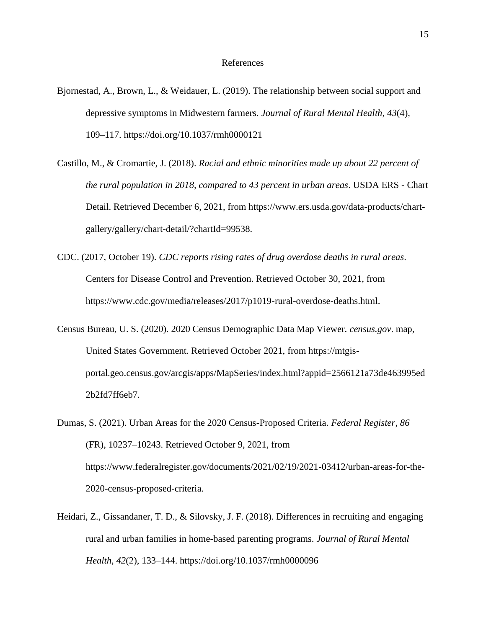#### References

- Bjornestad, A., Brown, L., & Weidauer, L. (2019). The relationship between social support and depressive symptoms in Midwestern farmers. *Journal of Rural Mental Health*, *43*(4), 109–117. https://doi.org/10.1037/rmh0000121
- Castillo, M., & Cromartie, J. (2018). *Racial and ethnic minorities made up about 22 percent of the rural population in 2018, compared to 43 percent in urban areas*. USDA ERS - Chart Detail. Retrieved December 6, 2021, from https://www.ers.usda.gov/data-products/chartgallery/gallery/chart-detail/?chartId=99538.
- CDC. (2017, October 19). *CDC reports rising rates of drug overdose deaths in rural areas*. Centers for Disease Control and Prevention. Retrieved October 30, 2021, from https://www.cdc.gov/media/releases/2017/p1019-rural-overdose-deaths.html.
- Census Bureau, U. S. (2020). 2020 Census Demographic Data Map Viewer. *census.gov*. map, United States Government. Retrieved October 2021, from https://mtgisportal.geo.census.gov/arcgis/apps/MapSeries/index.html?appid=2566121a73de463995ed 2b2fd7ff6eb7.
- Dumas, S. (2021). Urban Areas for the 2020 Census-Proposed Criteria. *Federal Register*, *86*  (FR), 10237–10243. Retrieved October 9, 2021, from https://www.federalregister.gov/documents/2021/02/19/2021-03412/urban-areas-for-the-2020-census-proposed-criteria.
- Heidari, Z., Gissandaner, T. D., & Silovsky, J. F. (2018). Differences in recruiting and engaging rural and urban families in home-based parenting programs. *Journal of Rural Mental Health*, *42*(2), 133–144. https://doi.org/10.1037/rmh0000096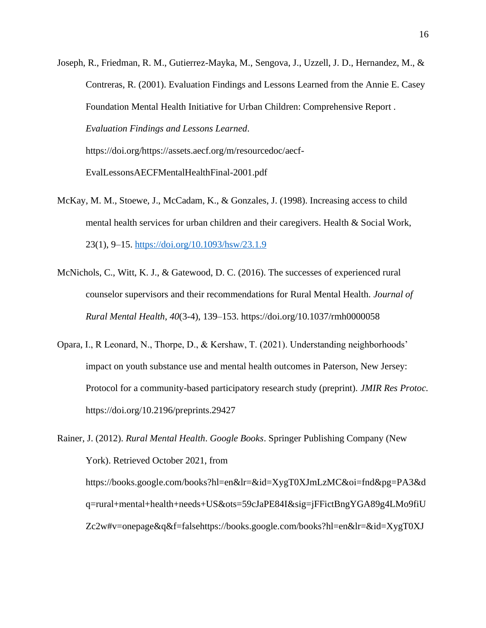- Joseph, R., Friedman, R. M., Gutierrez-Mayka, M., Sengova, J., Uzzell, J. D., Hernandez, M., & Contreras, R. (2001). Evaluation Findings and Lessons Learned from the Annie E. Casey Foundation Mental Health Initiative for Urban Children: Comprehensive Report . *Evaluation Findings and Lessons Learned*. https://doi.org/https://assets.aecf.org/m/resourcedoc/aecf-EvalLessonsAECFMentalHealthFinal-2001.pdf
- McKay, M. M., Stoewe, J., McCadam, K., & Gonzales, J. (1998). Increasing access to child mental health services for urban children and their caregivers. Health & Social Work, 23(1), 9–15.<https://doi.org/10.1093/hsw/23.1.9>
- McNichols, C., Witt, K. J., & Gatewood, D. C. (2016). The successes of experienced rural counselor supervisors and their recommendations for Rural Mental Health. *Journal of Rural Mental Health*, *40*(3-4), 139–153. https://doi.org/10.1037/rmh0000058
- Opara, I., R Leonard, N., Thorpe, D., & Kershaw, T. (2021). Understanding neighborhoods' impact on youth substance use and mental health outcomes in Paterson, New Jersey: Protocol for a community-based participatory research study (preprint). *JMIR Res Protoc.* https://doi.org/10.2196/preprints.29427

Rainer, J. (2012). *Rural Mental Health*. *Google Books*. Springer Publishing Company (New York). Retrieved October 2021, from https://books.google.com/books?hl=en&lr=&id=XygT0XJmLzMC&oi=fnd&pg=PA3&d q=rural+mental+health+needs+US&ots=59cJaPE84I&sig=jFFictBngYGA89g4LMo9fiU Zc2w#v=onepage&q&f=falsehttps://books.google.com/books?hl=en&lr=&id=XygT0XJ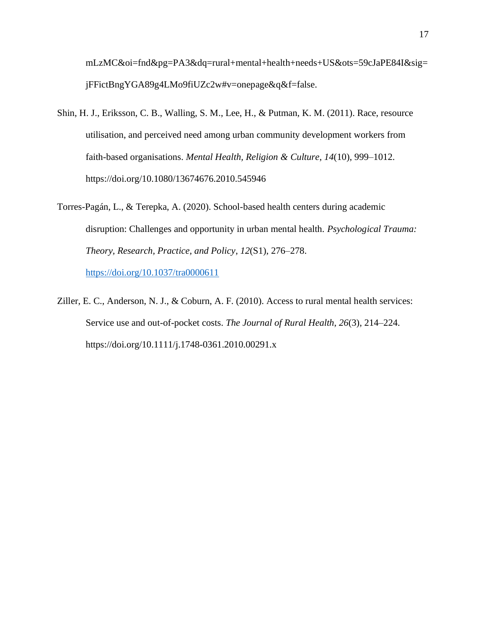mLzMC&oi=fnd&pg=PA3&dq=rural+mental+health+needs+US&ots=59cJaPE84I&sig= jFFictBngYGA89g4LMo9fiUZc2w#v=onepage&q&f=false.

- Shin, H. J., Eriksson, C. B., Walling, S. M., Lee, H., & Putman, K. M. (2011). Race, resource utilisation, and perceived need among urban community development workers from faith-based organisations. *Mental Health, Religion & Culture*, *14*(10), 999–1012. https://doi.org/10.1080/13674676.2010.545946
- Torres-Pagán, L., & Terepka, A. (2020). School-based health centers during academic disruption: Challenges and opportunity in urban mental health. *Psychological Trauma: Theory, Research, Practice, and Policy*, *12*(S1), 276–278. <https://doi.org/10.1037/tra0000611>
- Ziller, E. C., Anderson, N. J., & Coburn, A. F. (2010). Access to rural mental health services: Service use and out-of-pocket costs. *The Journal of Rural Health*, *26*(3), 214–224. https://doi.org/10.1111/j.1748-0361.2010.00291.x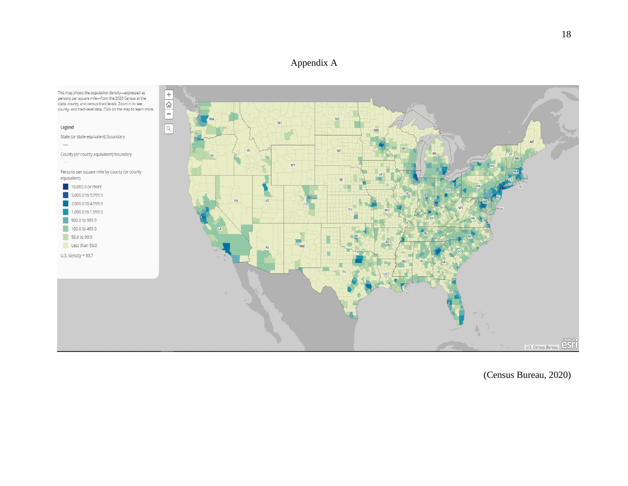## Appendix A



(Census Bureau, 2020)